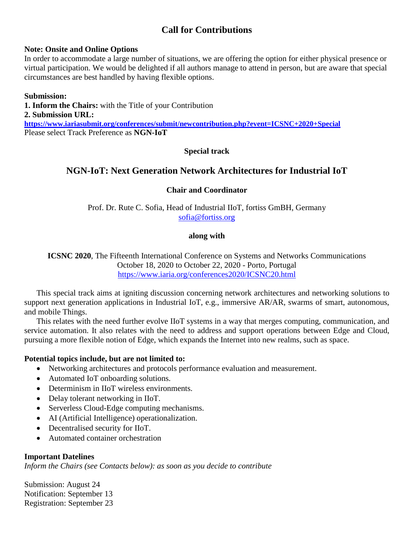# **Call for Contributions**

#### **Note: Onsite and Online Options**

In order to accommodate a large number of situations, we are offering the option for either physical presence or virtual participation. We would be delighted if all authors manage to attend in person, but are aware that special circumstances are best handled by having flexible options.

**Submission: 1. Inform the Chairs:** with the Title of your Contribution **2. Submission URL: <https://www.iariasubmit.org/conferences/submit/newcontribution.php?event=ICSNC+2020+Special>** Please select Track Preference as **NGN-IoT**

### **Special track**

# **NGN-IoT: Next Generation Network Architectures for Industrial IoT**

### **Chair and Coordinator**

Prof. Dr. Rute C. Sofia, Head of Industrial IIoT, fortiss GmBH, Germany [sofia@fortiss.org](mailto:sofia@fortiss.org)

#### **along with**

**ICSNC 2020**, The Fifteenth International Conference on Systems and Networks Communications October 18, 2020 to October 22, 2020 - Porto, Portugal <https://www.iaria.org/conferences2020/ICSNC20.html>

This special track aims at igniting discussion concerning network architectures and networking solutions to support next generation applications in Industrial IoT, e.g., immersive AR/AR, swarms of smart, autonomous, and mobile Things.

This relates with the need further evolve IIoT systems in a way that merges computing, communication, and service automation. It also relates with the need to address and support operations between Edge and Cloud, pursuing a more flexible notion of Edge, which expands the Internet into new realms, such as space.

#### **Potential topics include, but are not limited to:**

- Networking architectures and protocols performance evaluation and measurement.
- Automated IoT onboarding solutions.
- Determinism in IIoT wireless environments.
- Delay tolerant networking in IIoT.
- Serverless Cloud-Edge computing mechanisms.
- AI (Artificial Intelligence) operationalization.
- Decentralised security for IIoT.
- Automated container orchestration

### **Important Datelines**

*Inform the Chairs (see Contacts below): as soon as you decide to contribute*

Submission: August 24 Notification: September 13 Registration: September 23